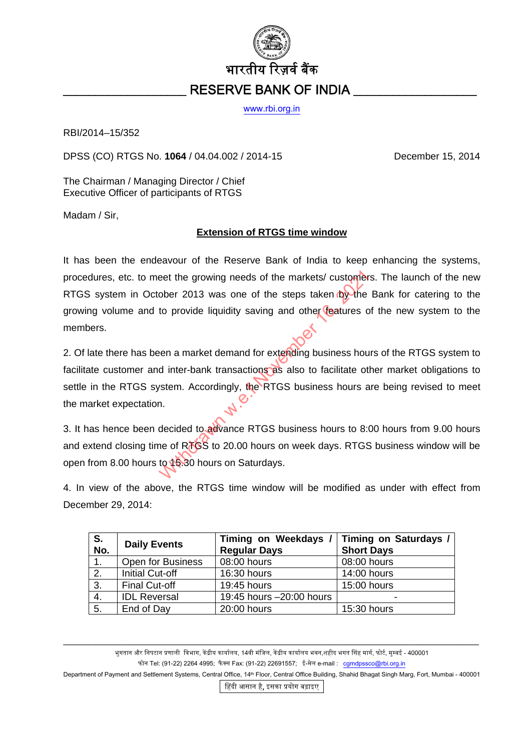

[www.rbi.org.in](http://www.rbi.org.in/)

RBI/2014–15/352

DPSS (CO) RTGS No. **1064** / 04.04.002 / 2014-15 December 15, 2014

The Chairman / Managing Director / Chief Executive Officer of participants of RTGS

Madam / Sir,

## **Extension of RTGS time window**

It has been the endeavour of the Reserve Bank of India to keep enhancing the systems, procedures, etc. to meet the growing needs of the markets/ customers. The launch of the new RTGS system in October 2013 was one of the steps taken by the Bank for catering to the growing volume and to provide liquidity saving and other features of the new system to the members. eet the growing needs of the markets/ customer<br>ober 2013 was one of the steps taken by the<br>to provide liquidity saving and other features c<br>pen a market demand for extending business hou<br>d inter-bank transactions as also t

2. Of late there has been a market demand for extending business hours of the RTGS system to facilitate customer and inter-bank transactions as also to facilitate other market obligations to settle in the RTGS system. Accordingly, the RTGS business hours are being revised to meet the market expectation.

3. It has hence been decided to advance RTGS business hours to 8:00 hours from 9.00 hours and extend closing time of RTGS to 20.00 hours on week days. RTGS business window will be open from 8.00 hours to 15.30 hours on Saturdays.

4. In view of the above, the RTGS time window will be modified as under with effect from December 29, 2014:

| S.<br>No. | <b>Daily Events</b>    | <b>Timing on Weekdays</b><br><b>Regular Days</b> | Timing on Saturdays /<br><b>Short Days</b> |
|-----------|------------------------|--------------------------------------------------|--------------------------------------------|
| 1.        | Open for Business      | 08:00 hours                                      | 08:00 hours                                |
| 2.        | <b>Initial Cut-off</b> | 16:30 hours                                      | 14:00 hours                                |
| 3.        | <b>Final Cut-off</b>   | 19:45 hours                                      | 15:00 hours                                |
| 4.        | <b>IDL Reversal</b>    | 19:45 hours -20:00 hours                         |                                            |
| 5.        | End of Day             | 20:00 hours                                      | 15:30 hours                                |

\_\_\_\_\_\_\_\_\_\_\_\_\_\_\_\_\_\_\_\_\_\_\_\_\_\_\_\_\_\_\_\_\_\_\_\_\_\_\_\_\_\_\_\_\_\_\_\_\_\_\_\_\_\_\_\_\_\_\_\_\_\_\_\_\_\_\_\_\_\_\_\_\_\_\_\_\_\_\_\_\_\_\_\_\_\_\_\_\_\_\_\_\_\_\_\_\_\_\_\_\_\_\_\_\_\_\_\_\_\_\_\_\_\_\_\_\_\_\_\_\_\_\_\_\_\_\_\_\_\_\_\_\_ भुगतान और निपटान प्रणाली विभाग, केंद्रीय कार्यालय, 14वी मंजिल, केंद्रीय कार्यालय भवन,शहीद भगत सिंह मार्ग, फोर्ट, मुम्बई - 400001 फोन Tel: (91-22) 2264 4995; फैक्स Fax: (91-22) 22691557; ई-मेल e-mail : [cgmdpssco@rbi.org.in](mailto:cgmdpssco@rbi.org.in)

Department of Payment and Settlement Systems, Central Office, 14<sup>th</sup> Floor, Central Office Building, Shahid Bhagat Singh Marg, Fort, Mumbai - 400001 िहदी आसान है, इसका पर्योग बढ़ाइए